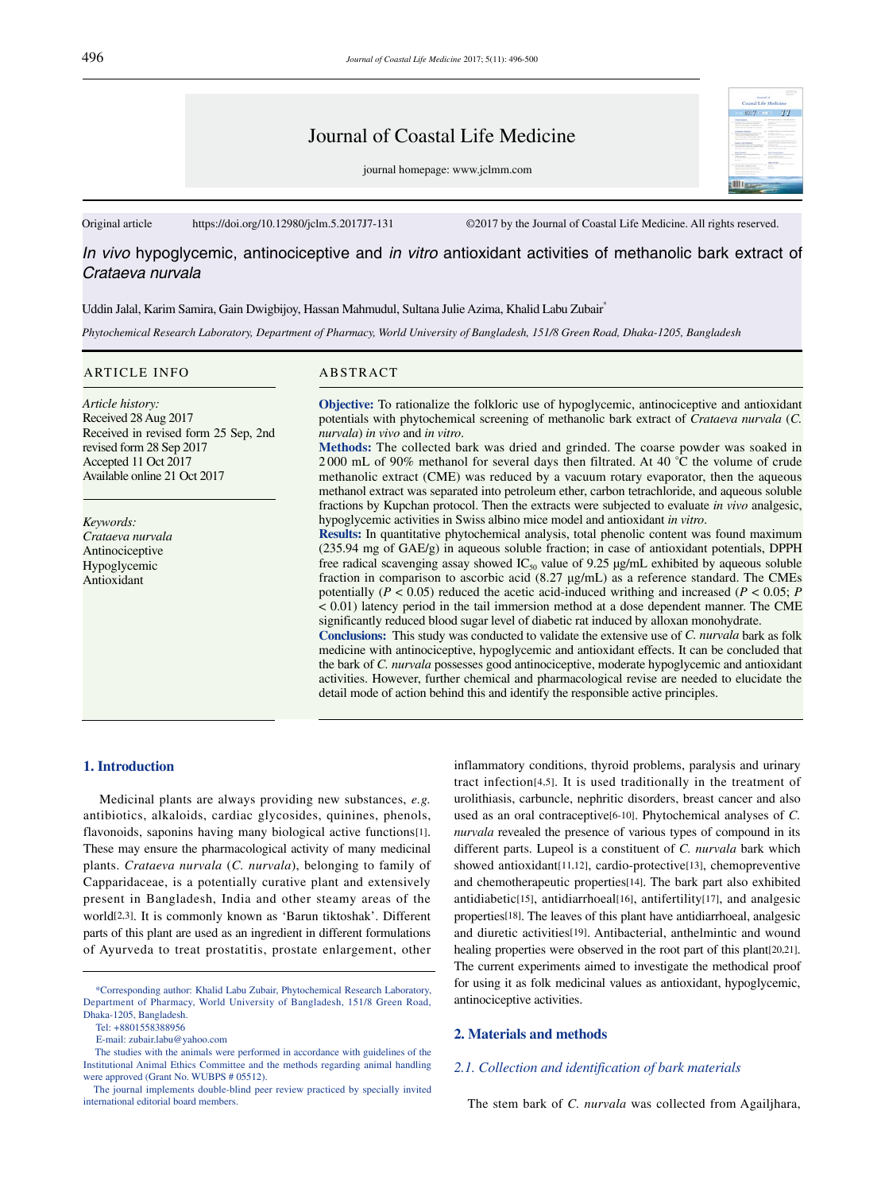# Journal of Coastal Life Medicine

journal homepage: www.jclmm.com

Original article https://doi.org/10.12980/jclm.5.2017J7-131 ©2017 by the Journal of Coastal Life Medicine. All rights reserved.

*In vivo* hypoglycemic, antinociceptive and *in vitro* antioxidant activities of methanolic bark extract of *Crataeva nurvala*

Uddin Jalal, Karim Samira, Gain Dwigbijoy, Hassan Mahmudul, Sultana Julie Azima, Khalid Labu Zubair\*

*Phytochemical Research Laboratory, Department of Pharmacy, World University of Bangladesh, 151/8 Green Road, Dhaka-1205, Bangladesh*

#### ARTICLE INFO ABSTRACT

*Article history:* Received 28 Aug 2017 Received in revised form 25 Sep, 2nd revised form 28 Sep 2017 Accepted 11 Oct 2017 Available online 21 Oct 2017

*Keywords: Crataeva nurvala* Antinociceptive Hypoglycemic Antioxidant

**Objective:** To rationalize the folkloric use of hypoglycemic, antinociceptive and antioxidant potentials with phytochemical screening of methanolic bark extract of *Crataeva nurvala* (*C. nurvala*) *in vivo* and *in vitro*.

**Methods:** The collected bark was dried and grinded. The coarse powder was soaked in 2 000 mL of 90% methanol for several days then filtrated. At 40 °C the volume of crude methanolic extract (CME) was reduced by a vacuum rotary evaporator, then the aqueous methanol extract was separated into petroleum ether, carbon tetrachloride, and aqueous soluble fractions by Kupchan protocol. Then the extracts were subjected to evaluate *in vivo* analgesic, hypoglycemic activities in Swiss albino mice model and antioxidant *in vitro*.

**Results:** In quantitative phytochemical analysis, total phenolic content was found maximum (235.94 mg of GAE/g) in aqueous soluble fraction; in case of antioxidant potentials, DPPH free radical scavenging assay showed  $IC_{50}$  value of 9.25  $\mu$ g/mL exhibited by aqueous soluble fraction in comparison to ascorbic acid (8.27 μg/mL) as a reference standard. The CMEs potentially ( $P < 0.05$ ) reduced the acetic acid-induced writhing and increased ( $P < 0.05$ ;  $P$ < 0.01) latency period in the tail immersion method at a dose dependent manner. The CME significantly reduced blood sugar level of diabetic rat induced by alloxan monohydrate.

**Conclusions:** This study was conducted to validate the extensive use of *C. nurvala* bark as folk medicine with antinociceptive, hypoglycemic and antioxidant effects. It can be concluded that the bark of *C. nurvala* possesses good antinociceptive, moderate hypoglycemic and antioxidant activities. However, further chemical and pharmacological revise are needed to elucidate the detail mode of action behind this and identify the responsible active principles.

# **1. Introduction**

 Medicinal plants are always providing new substances, *e.g.*  antibiotics, alkaloids, cardiac glycosides, quinines, phenols, flavonoids, saponins having many biological active functions[1]. These may ensure the pharmacological activity of many medicinal plants. *Crataeva nurvala* (*C. nurvala*), belonging to family of Capparidaceae, is a potentially curative plant and extensively present in Bangladesh, India and other steamy areas of the world[2,3]. It is commonly known as 'Barun tiktoshak'. Different parts of this plant are used as an ingredient in different formulations of Ayurveda to treat prostatitis, prostate enlargement, other

Tel: +8801558388956

inflammatory conditions, thyroid problems, paralysis and urinary tract infection[4,5]. It is used traditionally in the treatment of urolithiasis, carbuncle, nephritic disorders, breast cancer and also used as an oral contraceptive[6-10]. Phytochemical analyses of *C. nurvala* revealed the presence of various types of compound in its different parts. Lupeol is a constituent of *C. nurvala* bark which showed antioxidant[11,12], cardio-protective[13], chemopreventive and chemotherapeutic properties[14]. The bark part also exhibited antidiabetic[15], antidiarrhoeal[16], antifertility[17], and analgesic properties[18]. The leaves of this plant have antidiarrhoeal, analgesic and diuretic activities[19]. Antibacterial, anthelmintic and wound healing properties were observed in the root part of this plant[20,21]. The current experiments aimed to investigate the methodical proof for using it as folk medicinal values as antioxidant, hypoglycemic, antinociceptive activities.

# **2. Materials and methods**

# *2.1. Collection and identification of bark materials*

The stem bark of *C. nurvala* was collected from Agailjhara,

 <sup>\*</sup>Corresponding author: Khalid Labu Zubair, Phytochemical Research Laboratory, Department of Pharmacy, World University of Bangladesh, 151/8 Green Road, Dhaka-1205, Bangladesh.

E-mail: zubair.labu@yahoo.com

The studies with the animals were performed in accordance with guidelines of the Institutional Animal Ethics Committee and the methods regarding animal handling were approved (Grant No. WUBPS # 05512).

The journal implements double-blind peer review practiced by specially invited international editorial board members.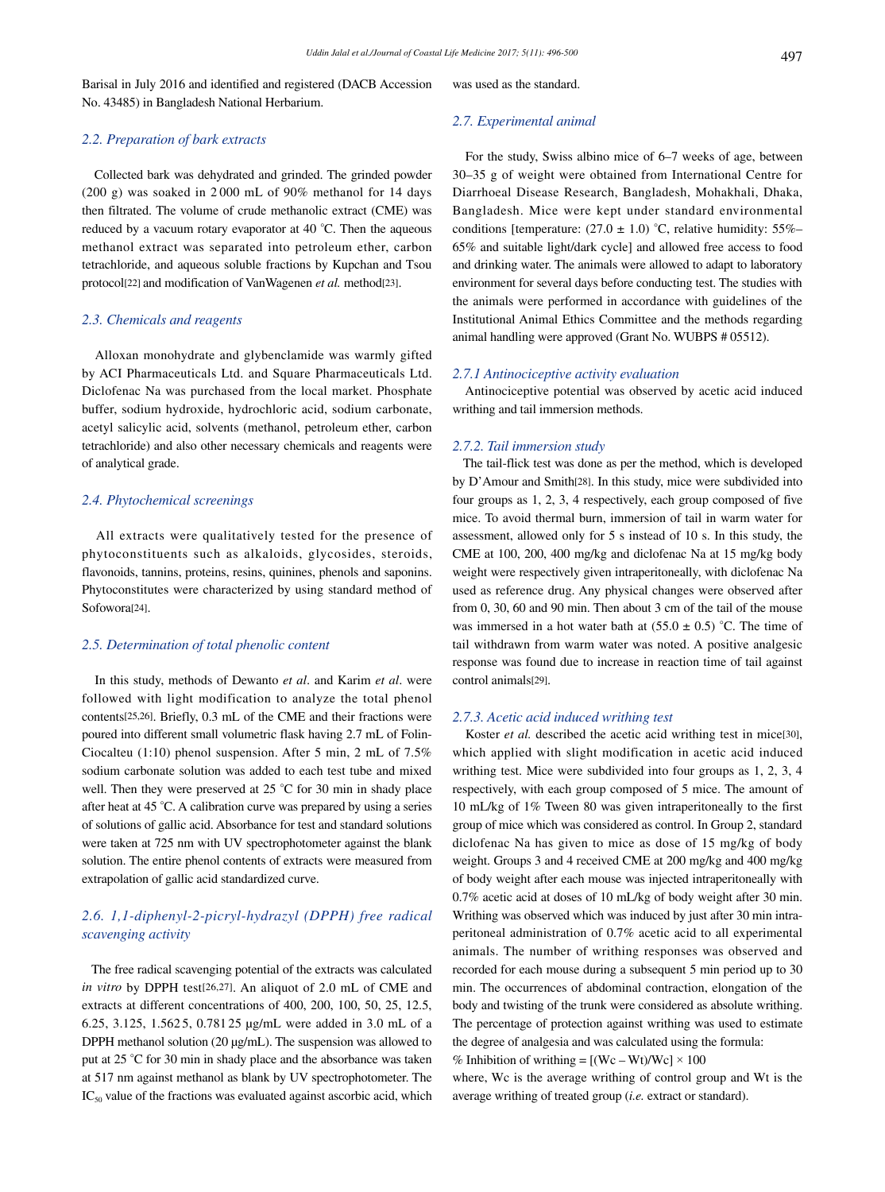Barisal in July 2016 and identified and registered (DACB Accession No. 43485) in Bangladesh National Herbarium.

# *2.2. Preparation of bark extracts*

 Collected bark was dehydrated and grinded. The grinded powder (200 g) was soaked in 2 000 mL of 90% methanol for 14 days then filtrated. The volume of crude methanolic extract (CME) was reduced by a vacuum rotary evaporator at 40 °C. Then the aqueous methanol extract was separated into petroleum ether, carbon tetrachloride, and aqueous soluble fractions by Kupchan and Tsou protocol<sup>[22]</sup> and modification of VanWagenen *et al.* method<sup>[23]</sup>.

# *2.3. Chemicals and reagents*

 Alloxan monohydrate and glybenclamide was warmly gifted by ACI Pharmaceuticals Ltd. and Square Pharmaceuticals Ltd. Diclofenac Na was purchased from the local market. Phosphate buffer, sodium hydroxide, hydrochloric acid, sodium carbonate, acetyl salicylic acid, solvents (methanol, petroleum ether, carbon tetrachloride) and also other necessary chemicals and reagents were of analytical grade.

# *2.4. Phytochemical screenings*

 All extracts were qualitatively tested for the presence of phytoconstituents such as alkaloids, glycosides, steroids, flavonoids, tannins, proteins, resins, quinines, phenols and saponins. Phytoconstitutes were characterized by using standard method of Sofowora[24].

#### *2.5. Determination of total phenolic content*

 In this study, methods of Dewanto *et al*. and Karim *et al*. were followed with light modification to analyze the total phenol contents[25,26]. Briefly, 0.3 mL of the CME and their fractions were poured into different small volumetric flask having 2.7 mL of Folin-Ciocalteu (1:10) phenol suspension. After 5 min, 2 mL of 7.5% sodium carbonate solution was added to each test tube and mixed well. Then they were preserved at 25 °C for 30 min in shady place after heat at 45 °C. A calibration curve was prepared by using a series of solutions of gallic acid. Absorbance for test and standard solutions were taken at 725 nm with UV spectrophotometer against the blank solution. The entire phenol contents of extracts were measured from extrapolation of gallic acid standardized curve.

# *2.6. 1,1-diphenyl-2-picryl-hydrazyl (DPPH) free radical scavenging activity*

 The free radical scavenging potential of the extracts was calculated *in vitro* by DPPH test[26,27]. An aliquot of 2.0 mL of CME and extracts at different concentrations of 400, 200, 100, 50, 25, 12.5, 6.25, 3.125, 1.562 5, 0.781 25 μg/mL were added in 3.0 mL of a DPPH methanol solution (20 μg/mL). The suspension was allowed to put at 25 °C for 30 min in shady place and the absorbance was taken at 517 nm against methanol as blank by UV spectrophotometer. The  $IC_{50}$  value of the fractions was evaluated against ascorbic acid, which was used as the standard.

#### *2.7. Experimental animal*

 For the study, Swiss albino mice of 6–7 weeks of age, between 30–35 g of weight were obtained from International Centre for Diarrhoeal Disease Research, Bangladesh, Mohakhali, Dhaka, Bangladesh. Mice were kept under standard environmental conditions [temperature:  $(27.0 \pm 1.0)$  °C, relative humidity: 55%– 65% and suitable light/dark cycle] and allowed free access to food and drinking water. The animals were allowed to adapt to laboratory environment for several days before conducting test. The studies with the animals were performed in accordance with guidelines of the Institutional Animal Ethics Committee and the methods regarding animal handling were approved (Grant No. WUBPS # 05512).

# *2.7.1 Antinociceptive activity evaluation*

 Antinociceptive potential was observed by acetic acid induced writhing and tail immersion methods.

#### *2.7.2. Tail immersion study*

 The tail-flick test was done as per the method, which is developed by D'Amour and Smith[28]. In this study, mice were subdivided into four groups as 1, 2, 3, 4 respectively, each group composed of five mice. To avoid thermal burn, immersion of tail in warm water for assessment, allowed only for 5 s instead of 10 s. In this study, the CME at 100, 200, 400 mg/kg and diclofenac Na at 15 mg/kg body weight were respectively given intraperitoneally, with diclofenac Na used as reference drug. Any physical changes were observed after from 0, 30, 60 and 90 min. Then about 3 cm of the tail of the mouse was immersed in a hot water bath at  $(55.0 \pm 0.5)$  °C. The time of tail withdrawn from warm water was noted. A positive analgesic response was found due to increase in reaction time of tail against control animals[29].

#### *2.7.3. Acetic acid induced writhing test*

Koster *et al.* described the acetic acid writhing test in mice<sup>[30]</sup>, which applied with slight modification in acetic acid induced writhing test. Mice were subdivided into four groups as 1, 2, 3, 4 respectively, with each group composed of 5 mice. The amount of 10 mL/kg of 1% Tween 80 was given intraperitoneally to the first group of mice which was considered as control. In Group 2, standard diclofenac Na has given to mice as dose of 15 mg/kg of body weight. Groups 3 and 4 received CME at 200 mg/kg and 400 mg/kg of body weight after each mouse was injected intraperitoneally with 0.7% acetic acid at doses of 10 mL/kg of body weight after 30 min. Writhing was observed which was induced by just after 30 min intraperitoneal administration of 0.7% acetic acid to all experimental animals. The number of writhing responses was observed and recorded for each mouse during a subsequent 5 min period up to 30 min. The occurrences of abdominal contraction, elongation of the body and twisting of the trunk were considered as absolute writhing. The percentage of protection against writhing was used to estimate the degree of analgesia and was calculated using the formula: % Inhibition of writhing =  $[(We - Wt)/We] \times 100$ 

where, Wc is the average writhing of control group and Wt is the average writhing of treated group (*i.e.* extract or standard).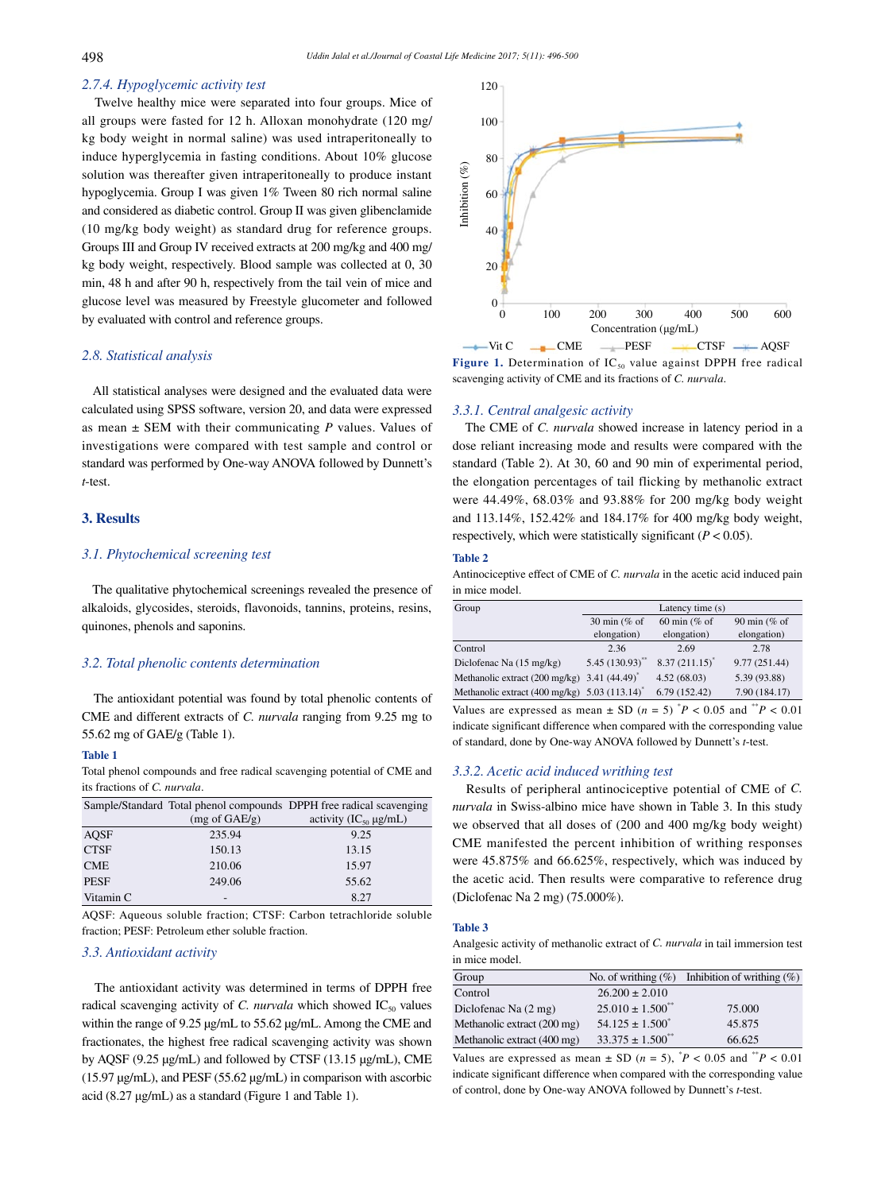# *2.7.4. Hypoglycemic activity test*

 Twelve healthy mice were separated into four groups. Mice of all groups were fasted for 12 h. Alloxan monohydrate (120 mg/ kg body weight in normal saline) was used intraperitoneally to induce hyperglycemia in fasting conditions. About 10% glucose solution was thereafter given intraperitoneally to produce instant hypoglycemia. Group I was given 1% Tween 80 rich normal saline and considered as diabetic control. Group II was given glibenclamide (10 mg/kg body weight) as standard drug for reference groups. Groups III and Group IV received extracts at 200 mg/kg and 400 mg/ kg body weight, respectively. Blood sample was collected at 0, 30 min, 48 h and after 90 h, respectively from the tail vein of mice and glucose level was measured by Freestyle glucometer and followed by evaluated with control and reference groups.

#### *2.8. Statistical analysis*

 All statistical analyses were designed and the evaluated data were calculated using SPSS software, version 20, and data were expressed as mean ± SEM with their communicating *P* values. Values of investigations were compared with test sample and control or standard was performed by One-way ANOVA followed by Dunnett's *t*-test.

# **3. Results**

#### *3.1. Phytochemical screening test*

 The qualitative phytochemical screenings revealed the presence of alkaloids, glycosides, steroids, flavonoids, tannins, proteins, resins, quinones, phenols and saponins.

## *3.2. Total phenolic contents determination*

 The antioxidant potential was found by total phenolic contents of CME and different extracts of *C. nurvala* ranging from 9.25 mg to 55.62 mg of GAE/g (Table 1).

# **Table 1**

Total phenol compounds and free radical scavenging potential of CME and its fractions of *C. nurvala*.

|             |                          | Sample/Standard Total phenol compounds DPPH free radical scavenging |
|-------------|--------------------------|---------------------------------------------------------------------|
|             | $(mg \text{ of } GAE/g)$ | activity $(IC_{50} \mu g/mL)$                                       |
| AQSF        | 235.94                   | 9.25                                                                |
| <b>CTSF</b> | 150.13                   | 13.15                                                               |
| <b>CME</b>  | 210.06                   | 15.97                                                               |
| <b>PESF</b> | 249.06                   | 55.62                                                               |
| Vitamin C   |                          | 8.27                                                                |

AQSF: Aqueous soluble fraction; CTSF: Carbon tetrachloride soluble fraction; PESF: Petroleum ether soluble fraction.

#### *3.3. Antioxidant activity*

 The antioxidant activity was determined in terms of DPPH free radical scavenging activity of *C. nurvala* which showed  $IC_{50}$  values within the range of 9.25 μg/mL to 55.62 μg/mL. Among the CME and fractionates, the highest free radical scavenging activity was shown by AQSF (9.25 μg/mL) and followed by CTSF (13.15 μg/mL), CME (15.97 μg/mL), and PESF (55.62 μg/mL) in comparison with ascorbic acid (8.27 μg/mL) as a standard (Figure 1 and Table 1).



**Figure 1.** Determination of  $IC_{50}$  value against DPPH free radical scavenging activity of CME and its fractions of *C. nurvala*.

#### *3.3.1. Central analgesic activity*

 The CME of *C. nurvala* showed increase in latency period in a dose reliant increasing mode and results were compared with the standard (Table 2). At 30, 60 and 90 min of experimental period, the elongation percentages of tail flicking by methanolic extract were 44.49%, 68.03% and 93.88% for 200 mg/kg body weight and 113.14%, 152.42% and 184.17% for 400 mg/kg body weight, respectively, which were statistically significant  $(P < 0.05)$ .

#### **Table 2**

Antinociceptive effect of CME of *C. nurvala* in the acetic acid induced pain in mice model.

| Group                                                            | Latency time $(s)$         |                    |               |
|------------------------------------------------------------------|----------------------------|--------------------|---------------|
|                                                                  | 30 min (% of               | 60 min (% of       | 90 min (% of  |
|                                                                  | elongation)                | elongation)        | elongation)   |
| Control                                                          | 2.36                       | 2.69               | 2.78          |
| Diclofenac Na $(15 \text{ mg/kg})$                               | 5.45(130.93)               | $8.37(211.15)^{*}$ | 9.77 (251.44) |
| Methanolic extract $(200 \text{ mg/kg})$                         | $3.41(44.49)$ <sup>*</sup> | 4.52(68.03)        | 5.39 (93.88)  |
| Methanolic extract $(400 \text{ mg/kg})$ 5.03 $(113.14)^{\circ}$ |                            | 6.79(152.42)       | 7.90 (184.17) |

Values are expressed as mean  $\pm$  SD ( $n = 5$ )  $P < 0.05$  and  $P < 0.01$ indicate significant difference when compared with the corresponding value of standard, done by One-way ANOVA followed by Dunnett's *t*-test.

# *3.3.2. Acetic acid induced writhing test*

 Results of peripheral antinociceptive potential of CME of *C. nurvala* in Swiss-albino mice have shown in Table 3. In this study we observed that all doses of (200 and 400 mg/kg body weight) CME manifested the percent inhibition of writhing responses were 45.875% and 66.625%, respectively, which was induced by the acetic acid. Then results were comparative to reference drug (Diclofenac Na 2 mg) (75.000%).

#### **Table 3**

Analgesic activity of methanolic extract of *C. nurvala* in tail immersion test in mice model.

| Group                       |                         | No. of writhing $(\%)$ Inhibition of writhing $(\%)$ |
|-----------------------------|-------------------------|------------------------------------------------------|
| Control                     | $26.200 \pm 2.010$      |                                                      |
| Diclofenac Na (2 mg)        | $25.010 \pm 1.500^{**}$ | 75,000                                               |
| Methanolic extract (200 mg) | $54.125 \pm 1.500^*$    | 45.875                                               |
| Methanolic extract (400 mg) | $33.375 \pm 1.500^{**}$ | 66.625                                               |

Values are expressed as mean  $\pm$  SD ( $n = 5$ ),  $P < 0.05$  and  $P < 0.01$ indicate significant difference when compared with the corresponding value of control, done by One-way ANOVA followed by Dunnett's *t*-test.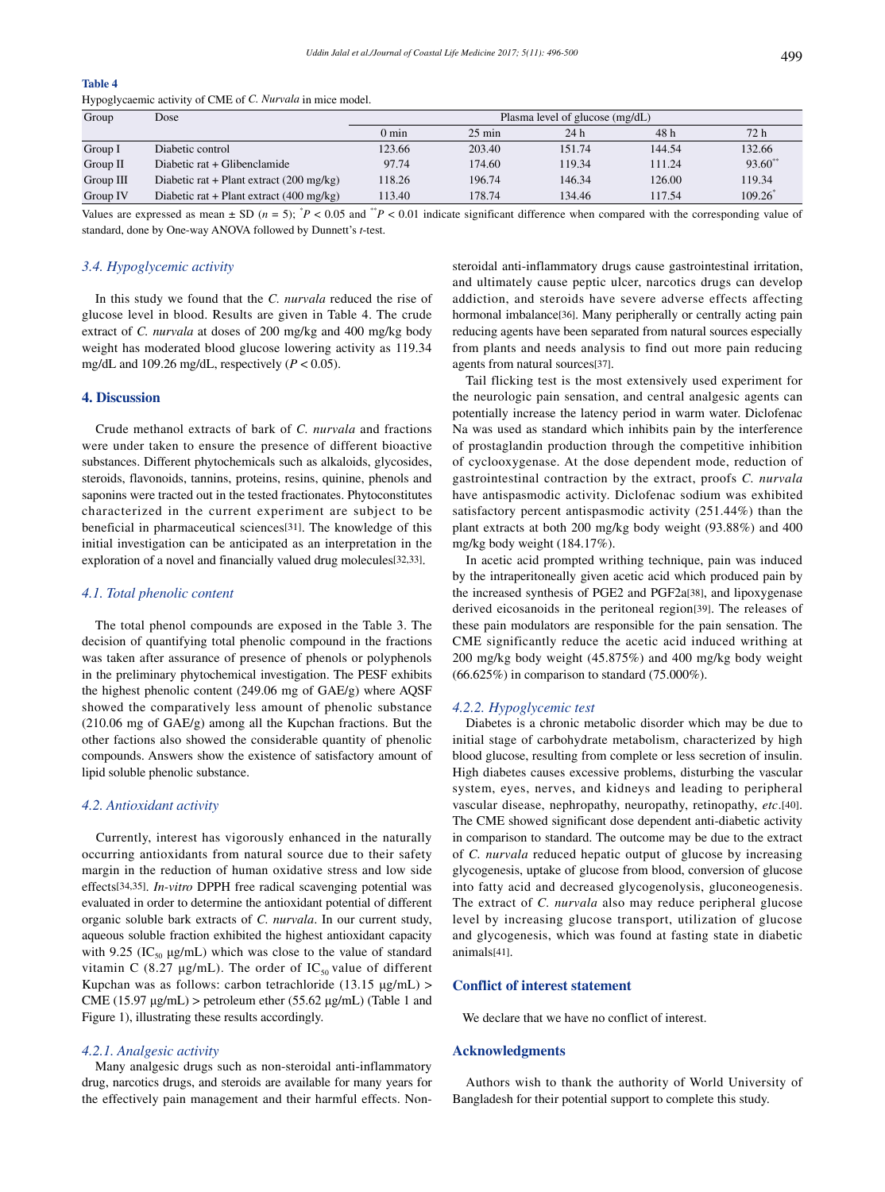# **Table 4**

Hypoglycaemic activity of CME of *C. Nurvala* in mice model.

| Group     | Dose                                               | Plasma level of glucose (mg/dL) |                  |        |        |              |
|-----------|----------------------------------------------------|---------------------------------|------------------|--------|--------|--------------|
|           |                                                    | $0 \text{ min}$                 | $25 \text{ min}$ | 24h    | 48 h   | 72 h         |
| Group I   | Diabetic control                                   | 123.66                          | 203.40           | 151.74 | 144.54 | 132.66       |
| Group II  | Diabetic rat + Glibenclamide                       | 97.74                           | 174.60           | 119.34 | 111.24 | $93.60^{**}$ |
| Group III | Diabetic rat + Plant extract $(200 \text{ mg/kg})$ | 118.26                          | 196.74           | 146.34 | 126.00 | 119.34       |
| Group IV  | Diabetic rat + Plant extract $(400 \text{ mg/kg})$ | 113.40                          | 178.74           | 134.46 | 117.54 | 109.26       |

Values are expressed as mean  $\pm$  SD ( $n = 5$ );  $P < 0.05$  and  $P < 0.01$  indicate significant difference when compared with the corresponding value of standard, done by One-way ANOVA followed by Dunnett's *t*-test.

#### *3.4. Hypoglycemic activity*

 In this study we found that the *C. nurvala* reduced the rise of glucose level in blood. Results are given in Table 4. The crude extract of *C. nurvala* at doses of 200 mg/kg and 400 mg/kg body weight has moderated blood glucose lowering activity as 119.34 mg/dL and 109.26 mg/dL, respectively (*P* < 0.05).

# **4. Discussion**

 Crude methanol extracts of bark of *C. nurvala* and fractions were under taken to ensure the presence of different bioactive substances. Different phytochemicals such as alkaloids, glycosides, steroids, flavonoids, tannins, proteins, resins, quinine, phenols and saponins were tracted out in the tested fractionates. Phytoconstitutes characterized in the current experiment are subject to be beneficial in pharmaceutical sciences[31]. The knowledge of this initial investigation can be anticipated as an interpretation in the exploration of a novel and financially valued drug molecules[32,33].

#### *4.1. Total phenolic content*

 The total phenol compounds are exposed in the Table 3. The decision of quantifying total phenolic compound in the fractions was taken after assurance of presence of phenols or polyphenols in the preliminary phytochemical investigation. The PESF exhibits the highest phenolic content (249.06 mg of GAE/g) where AQSF showed the comparatively less amount of phenolic substance (210.06 mg of GAE/g) among all the Kupchan fractions. But the other factions also showed the considerable quantity of phenolic compounds. Answers show the existence of satisfactory amount of lipid soluble phenolic substance.

#### *4.2. Antioxidant activity*

 Currently, interest has vigorously enhanced in the naturally occurring antioxidants from natural source due to their safety margin in the reduction of human oxidative stress and low side effects[34,35]. *In-vitro* DPPH free radical scavenging potential was evaluated in order to determine the antioxidant potential of different organic soluble bark extracts of *C. nurvala*. In our current study, aqueous soluble fraction exhibited the highest antioxidant capacity with 9.25 ( $IC_{50}$  µg/mL) which was close to the value of standard vitamin C (8.27 μg/mL). The order of  $IC_{50}$  value of different Kupchan was as follows: carbon tetrachloride (13.15 μg/mL) > CME (15.97 μg/mL) > petroleum ether (55.62 μg/mL) (Table 1 and Figure 1), illustrating these results accordingly.

#### *4.2.1. Analgesic activity*

 Many analgesic drugs such as non-steroidal anti-inflammatory drug, narcotics drugs, and steroids are available for many years for the effectively pain management and their harmful effects. Nonsteroidal anti-inflammatory drugs cause gastrointestinal irritation, and ultimately cause peptic ulcer, narcotics drugs can develop addiction, and steroids have severe adverse effects affecting hormonal imbalance[36]. Many peripherally or centrally acting pain reducing agents have been separated from natural sources especially from plants and needs analysis to find out more pain reducing agents from natural sources[37].

 Tail flicking test is the most extensively used experiment for the neurologic pain sensation, and central analgesic agents can potentially increase the latency period in warm water. Diclofenac Na was used as standard which inhibits pain by the interference of prostaglandin production through the competitive inhibition of cyclooxygenase. At the dose dependent mode, reduction of gastrointestinal contraction by the extract, proofs *C. nurvala* have antispasmodic activity. Diclofenac sodium was exhibited satisfactory percent antispasmodic activity (251.44%) than the plant extracts at both 200 mg/kg body weight (93.88%) and 400 mg/kg body weight (184.17%).

 In acetic acid prompted writhing technique, pain was induced by the intraperitoneally given acetic acid which produced pain by the increased synthesis of PGE2 and PGF2a[38], and lipoxygenase derived eicosanoids in the peritoneal region[39]. The releases of these pain modulators are responsible for the pain sensation. The CME significantly reduce the acetic acid induced writhing at 200 mg/kg body weight (45.875%) and 400 mg/kg body weight (66.625%) in comparison to standard (75.000%).

#### *4.2.2. Hypoglycemic test*

 Diabetes is a chronic metabolic disorder which may be due to initial stage of carbohydrate metabolism, characterized by high blood glucose, resulting from complete or less secretion of insulin. High diabetes causes excessive problems, disturbing the vascular system, eyes, nerves, and kidneys and leading to peripheral vascular disease, nephropathy, neuropathy, retinopathy, *etc*.[40]. The CME showed significant dose dependent anti-diabetic activity in comparison to standard. The outcome may be due to the extract of *C. nurvala* reduced hepatic output of glucose by increasing glycogenesis, uptake of glucose from blood, conversion of glucose into fatty acid and decreased glycogenolysis, gluconeogenesis. The extract of *C. nurvala* also may reduce peripheral glucose level by increasing glucose transport, utilization of glucose and glycogenesis, which was found at fasting state in diabetic animals[41].

#### **Conflict of interest statement**

We declare that we have no conflict of interest.

#### **Acknowledgments**

 Authors wish to thank the authority of World University of Bangladesh for their potential support to complete this study.